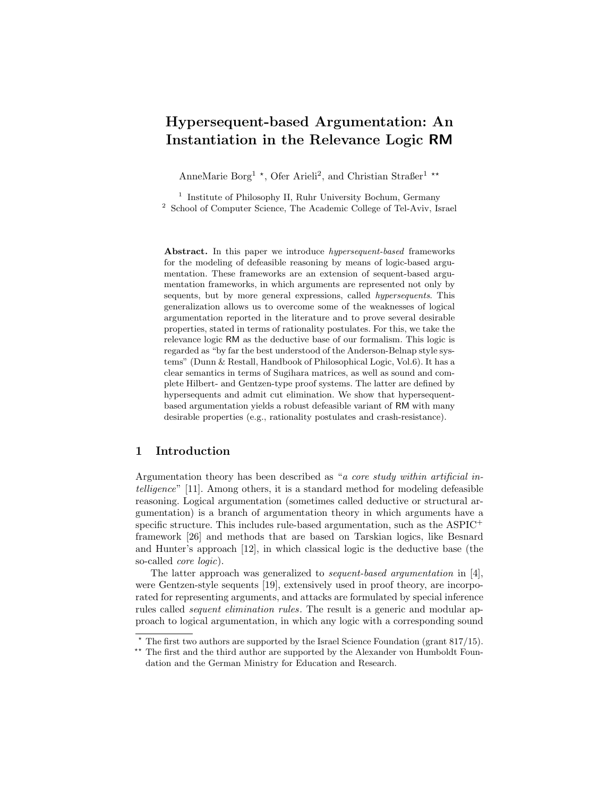# Hypersequent-based Argumentation: An Instantiation in the Relevance Logic RM

AnneMarie Borg<sup>1</sup> \*, Ofer Arieli<sup>2</sup>, and Christian Straßer<sup>1</sup> \*\*

<sup>1</sup> Institute of Philosophy II, Ruhr University Bochum, Germany <sup>2</sup> School of Computer Science, The Academic College of Tel-Aviv, Israel

Abstract. In this paper we introduce *hypersequent-based* frameworks for the modeling of defeasible reasoning by means of logic-based argumentation. These frameworks are an extension of sequent-based argumentation frameworks, in which arguments are represented not only by sequents, but by more general expressions, called hypersequents. This generalization allows us to overcome some of the weaknesses of logical argumentation reported in the literature and to prove several desirable properties, stated in terms of rationality postulates. For this, we take the relevance logic RM as the deductive base of our formalism. This logic is regarded as "by far the best understood of the Anderson-Belnap style systems" (Dunn & Restall, Handbook of Philosophical Logic, Vol.6). It has a clear semantics in terms of Sugihara matrices, as well as sound and complete Hilbert- and Gentzen-type proof systems. The latter are defined by hypersequents and admit cut elimination. We show that hypersequentbased argumentation yields a robust defeasible variant of RM with many desirable properties (e.g., rationality postulates and crash-resistance).

## 1 Introduction

Argumentation theory has been described as "a core study within artificial intelligence" [11]. Among others, it is a standard method for modeling defeasible reasoning. Logical argumentation (sometimes called deductive or structural argumentation) is a branch of argumentation theory in which arguments have a specific structure. This includes rule-based argumentation, such as the  $\text{ASPIC}^+$ framework [26] and methods that are based on Tarskian logics, like Besnard and Hunter's approach [12], in which classical logic is the deductive base (the so-called core logic).

The latter approach was generalized to sequent-based argumentation in [4], were Gentzen-style sequents [19], extensively used in proof theory, are incorporated for representing arguments, and attacks are formulated by special inference rules called *sequent elimination rules*. The result is a generic and modular approach to logical argumentation, in which any logic with a corresponding sound

 $*$  The first two authors are supported by the Israel Science Foundation (grant 817/15).

<sup>\*\*</sup> The first and the third author are supported by the Alexander von Humboldt Foundation and the German Ministry for Education and Research.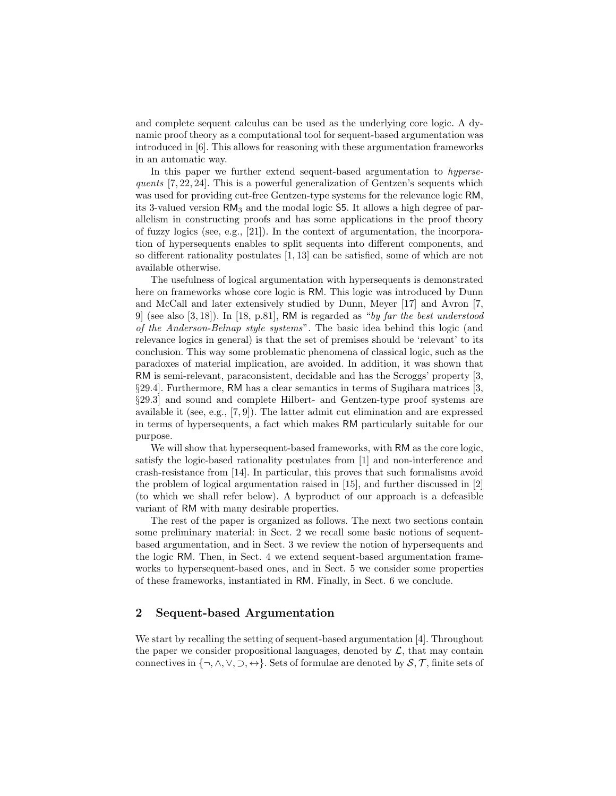and complete sequent calculus can be used as the underlying core logic. A dynamic proof theory as a computational tool for sequent-based argumentation was introduced in [6]. This allows for reasoning with these argumentation frameworks in an automatic way.

In this paper we further extend sequent-based argumentation to hypersequents [7, 22, 24]. This is a powerful generalization of Gentzen's sequents which was used for providing cut-free Gentzen-type systems for the relevance logic RM, its 3-valued version  $\text{RM}_3$  and the modal logic S5. It allows a high degree of parallelism in constructing proofs and has some applications in the proof theory of fuzzy logics (see, e.g., [21]). In the context of argumentation, the incorporation of hypersequents enables to split sequents into different components, and so different rationality postulates [1, 13] can be satisfied, some of which are not available otherwise.

The usefulness of logical argumentation with hypersequents is demonstrated here on frameworks whose core logic is RM. This logic was introduced by Dunn and McCall and later extensively studied by Dunn, Meyer [17] and Avron [7, 9 (see also  $[3, 18]$ ). In  $[18, p.81]$ , RM is regarded as "by far the best understood of the Anderson-Belnap style systems". The basic idea behind this logic (and relevance logics in general) is that the set of premises should be 'relevant' to its conclusion. This way some problematic phenomena of classical logic, such as the paradoxes of material implication, are avoided. In addition, it was shown that RM is semi-relevant, paraconsistent, decidable and has the Scroggs' property [3, §29.4]. Furthermore, RM has a clear semantics in terms of Sugihara matrices [3, §29.3] and sound and complete Hilbert- and Gentzen-type proof systems are available it (see, e.g., [7, 9]). The latter admit cut elimination and are expressed in terms of hypersequents, a fact which makes RM particularly suitable for our purpose.

We will show that hypersequent-based frameworks, with RM as the core logic, satisfy the logic-based rationality postulates from [1] and non-interference and crash-resistance from [14]. In particular, this proves that such formalisms avoid the problem of logical argumentation raised in [15], and further discussed in [2] (to which we shall refer below). A byproduct of our approach is a defeasible variant of RM with many desirable properties.

The rest of the paper is organized as follows. The next two sections contain some preliminary material: in Sect. 2 we recall some basic notions of sequentbased argumentation, and in Sect. 3 we review the notion of hypersequents and the logic RM. Then, in Sect. 4 we extend sequent-based argumentation frameworks to hypersequent-based ones, and in Sect. 5 we consider some properties of these frameworks, instantiated in RM. Finally, in Sect. 6 we conclude.

## 2 Sequent-based Argumentation

We start by recalling the setting of sequent-based argumentation [4]. Throughout the paper we consider propositional languages, denoted by  $\mathcal{L}$ , that may contain connectives in  $\{\neg, \wedge, \vee, \supset, \leftrightarrow\}$ . Sets of formulae are denoted by  $\mathcal{S}, \mathcal{T}$ , finite sets of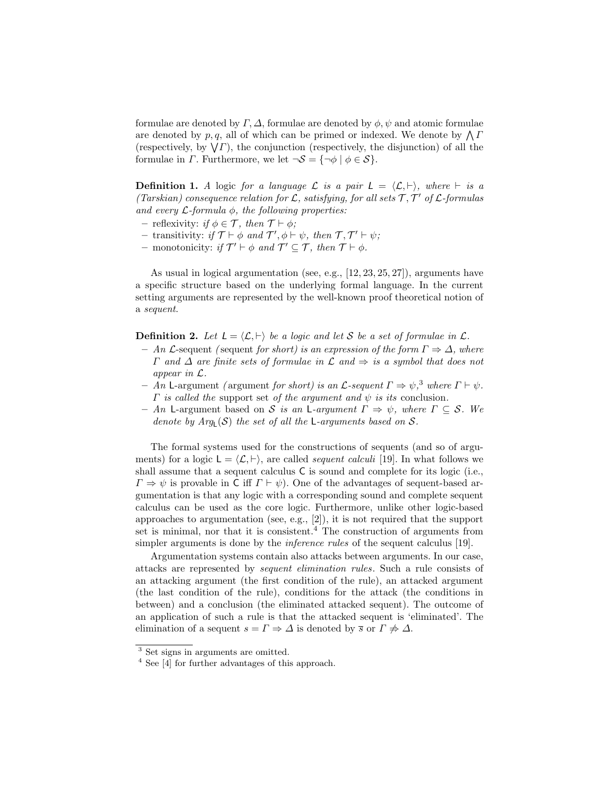formulae are denoted by  $\Gamma$ ,  $\Delta$ , formulae are denoted by  $\phi$ ,  $\psi$  and atomic formulae are denoted by  $p, q$ , all of which can be primed or indexed. We denote by  $\bigwedge I$ (respectively, by  $\sqrt{\Gamma}$ ), the conjunction (respectively, the disjunction) of all the formulae in  $\Gamma$ . Furthermore, we let  $\neg S = {\neg \phi \mid \phi \in S}$ .

**Definition 1.** A logic for a language L is a pair  $L = \langle L, \vdash \rangle$ , where  $\vdash$  is a (Tarskian) consequence relation for  $\mathcal{L}$ , satisfying, for all sets  $\mathcal{T}, \mathcal{T}'$  of  $\mathcal{L}$ -formulas and every  $\mathcal{L}$ -formula  $\phi$ , the following properties:

- reflexivity: if  $\phi \in \mathcal{T}$ , then  $\mathcal{T} \vdash \phi$ ;
- transitivity: if  $\mathcal{T} \vdash \phi$  and  $\mathcal{T}', \phi \vdash \psi$ , then  $\mathcal{T}, \mathcal{T}' \vdash \psi$ ;
- monotonicity: if  $\mathcal{T}' \vdash \phi$  and  $\mathcal{T}' \subseteq \mathcal{T}$ , then  $\mathcal{T} \vdash \phi$ .

As usual in logical argumentation (see, e.g., [12, 23, 25, 27]), arguments have a specific structure based on the underlying formal language. In the current setting arguments are represented by the well-known proof theoretical notion of a sequent.

**Definition 2.** Let  $L = \langle \mathcal{L}, \vdash \rangle$  be a logic and let S be a set of formulae in  $\mathcal{L}$ .

- An  $\mathcal L$ -sequent (sequent for short) is an expression of the form  $\Gamma \Rightarrow \Delta$ , where  $\Gamma$  and  $\Delta$  are finite sets of formulae in  $\mathcal L$  and  $\Rightarrow$  is a symbol that does not appear in L.
- An L-argument (argument for short) is an L-sequent  $\Gamma \Rightarrow \psi$ ,<sup>3</sup> where  $\Gamma \vdash \psi$ .  $\Gamma$  is called the support set of the argument and  $\psi$  is its conclusion.
- An L-argument based on S is an L-argument  $\Gamma \Rightarrow \psi$ , where  $\Gamma \subseteq \mathcal{S}$ . We denote by  $Arg_{L}(S)$  the set of all the L-arguments based on S.

The formal systems used for the constructions of sequents (and so of arguments) for a logic  $L = \langle \mathcal{L}, \vdash \rangle$ , are called *sequent calculi* [19]. In what follows we shall assume that a sequent calculus C is sound and complete for its logic (i.e.,  $\Gamma \Rightarrow \psi$  is provable in C iff  $\Gamma \vdash \psi$ ). One of the advantages of sequent-based argumentation is that any logic with a corresponding sound and complete sequent calculus can be used as the core logic. Furthermore, unlike other logic-based approaches to argumentation (see, e.g., [2]), it is not required that the support set is minimal, nor that it is consistent.<sup>4</sup> The construction of arguments from simpler arguments is done by the *inference rules* of the sequent calculus [19].

Argumentation systems contain also attacks between arguments. In our case, attacks are represented by sequent elimination rules. Such a rule consists of an attacking argument (the first condition of the rule), an attacked argument (the last condition of the rule), conditions for the attack (the conditions in between) and a conclusion (the eliminated attacked sequent). The outcome of an application of such a rule is that the attacked sequent is 'eliminated'. The elimination of a sequent  $s = \Gamma \Rightarrow \Delta$  is denoted by  $\overline{s}$  or  $\Gamma \not\Rightarrow \Delta$ .

<sup>3</sup> Set signs in arguments are omitted.

<sup>4</sup> See [4] for further advantages of this approach.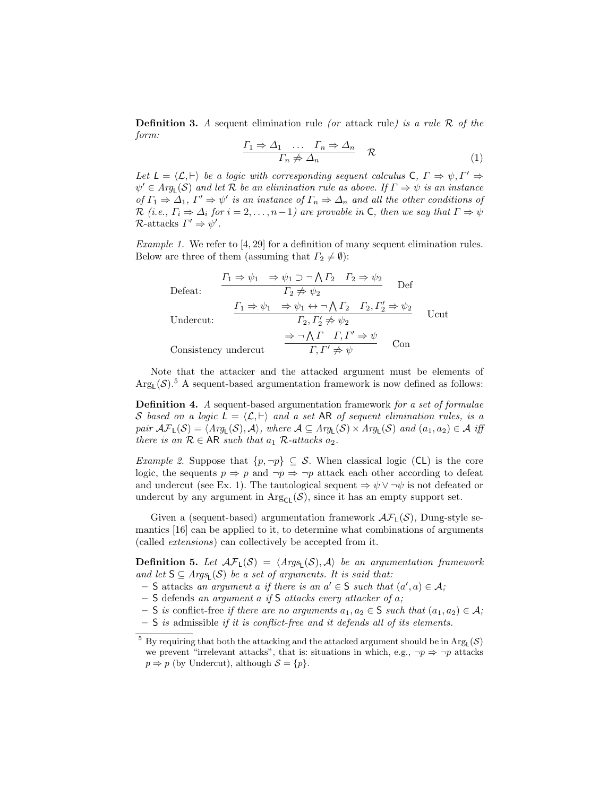**Definition 3.** A sequent elimination rule (or attack rule) is a rule  $\mathcal{R}$  of the form:

$$
\frac{\Gamma_1 \Rightarrow \Delta_1 \quad \dots \quad \Gamma_n \Rightarrow \Delta_n}{\Gamma_n \not\Rightarrow \Delta_n} \quad \mathcal{R} \tag{1}
$$

Let  $L = \langle \mathcal{L}, \vdash \rangle$  be a logic with corresponding sequent calculus C,  $\Gamma \Rightarrow \psi, \Gamma' \Rightarrow$  $\psi' \in Arg_{\mathsf{L}}(\mathcal{S})$  and let  $\mathcal R$  be an elimination rule as above. If  $\Gamma \Rightarrow \psi$  is an instance of  $\Gamma_1 \Rightarrow \Delta_1$ ,  $\Gamma' \Rightarrow \psi'$  is an instance of  $\Gamma_n \Rightarrow \Delta_n$  and all the other conditions of R (i.e.,  $\Gamma_i \Rightarrow \Delta_i$  for  $i = 2, ..., n-1$ ) are provable in C, then we say that  $\Gamma \Rightarrow \psi$  $\mathcal{R}\text{-attacks } \Gamma' \Rightarrow \psi'.$ 

Example 1. We refer to [4, 29] for a definition of many sequent elimination rules. Below are three of them (assuming that  $\Gamma_2 \neq \emptyset$ ):

Defeat:

\n
$$
\frac{\Gamma_1 \Rightarrow \psi_1 \Rightarrow \psi_1 \supset \neg \bigwedge \Gamma_2 \quad \Gamma_2 \Rightarrow \psi_2}{\Gamma_2 \not\Rightarrow \psi_2} \quad \text{Def}
$$
\nUndercut:

\n
$$
\frac{\Gamma_1 \Rightarrow \psi_1 \Rightarrow \psi_1 \leftrightarrow \neg \bigwedge \Gamma_2 \quad \Gamma_2, \Gamma'_2 \Rightarrow \psi_2}{\Gamma_2, \Gamma'_2 \not\Rightarrow \psi_2} \quad \text{Ucut}
$$
\nConsistency undercut

\n
$$
\frac{\Rightarrow \neg \bigwedge \Gamma \quad \Gamma, \Gamma' \Rightarrow \psi}{\Gamma, \Gamma' \not\Rightarrow \psi} \quad \text{Con}
$$

Note that the attacker and the attacked argument must be elements of  $\text{Arg}_{\mathsf{L}}(\mathcal{S})$ .<sup>5</sup> A sequent-based argumentation framework is now defined as follows:

**Definition 4.** A sequent-based argumentation framework for a set of formulae S based on a logic  $L = \langle L, \vdash \rangle$  and a set AR of sequent elimination rules, is a pair  $\mathcal{AF}_\mathsf{L}(\mathcal{S}) = \langle \mathit{Arg}_\mathsf{L}(\mathcal{S}), \mathcal{A} \rangle$ , where  $\mathcal{A} \subseteq \mathit{Arg}_\mathsf{L}(\mathcal{S}) \times \mathit{Arg}_\mathsf{L}(\mathcal{S})$  and  $(a_1, a_2) \in \mathcal{A}$  iff there is an  $\mathcal{R} \in \mathsf{AR}$  such that  $a_1$   $\mathcal{R}\text{-} attacks$   $a_2$ .

*Example 2.* Suppose that  $\{p, \neg p\} \subseteq S$ . When classical logic (CL) is the core logic, the sequents  $p \Rightarrow p$  and  $\neg p \Rightarrow \neg p$  attack each other according to defeat and undercut (see Ex. 1). The tautological sequent  $\Rightarrow \psi \vee \neg \psi$  is not defeated or undercut by any argument in  $\text{Arg}_{\mathsf{CL}}(\mathcal{S})$ , since it has an empty support set.

Given a (sequent-based) argumentation framework  $\mathcal{AF}_L(\mathcal{S})$ , Dung-style semantics [16] can be applied to it, to determine what combinations of arguments (called extensions) can collectively be accepted from it.

**Definition 5.** Let  $\mathcal{AF}_L(\mathcal{S}) = \langle \text{Arg}_L(\mathcal{S}), \mathcal{A} \rangle$  be an argumentation framework and let  $S \subseteq \text{Arg}_L(S)$  be a set of arguments. It is said that:

 $-$  S attacks an argument a if there is an  $a' \in S$  such that  $(a', a) \in A$ ;

- $-$  S defends an argument a if S attacks every attacker of a;
- S is conflict-free if there are no arguments  $a_1, a_2 \in S$  such that  $(a_1, a_2) \in A$ ;
- $-$  S is admissible if it is conflict-free and it defends all of its elements.

 $^5$  By requiring that both the attacking and the attacked argument should be in  $\text{Arg}_{\text{L}}(\mathcal{S})$ we prevent "irrelevant attacks", that is: situations in which, e.g.,  $\neg p \Rightarrow \neg p$  attacks  $p \Rightarrow p$  (by Undercut), although  $S = \{p\}.$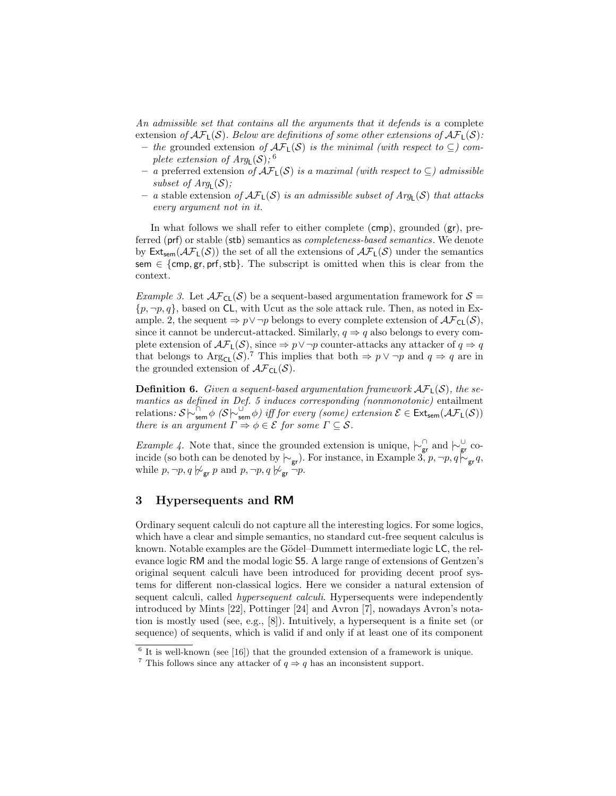An admissible set that contains all the arguments that it defends is a complete extension of  $\mathcal{AF}_L(\mathcal{S})$ . Below are definitions of some other extensions of  $\mathcal{AF}_L(\mathcal{S})$ :

- the grounded extension of  $\mathcal{AF}_L(\mathcal{S})$  is the minimal (with respect to ⊆) complete extension of  $Arg_{\mathsf{L}}(\mathcal{S})$ ; <sup>6</sup>
- a preferred extension of  $\mathcal{AF}_L(\mathcal{S})$  is a maximal (with respect to  $\subseteq$ ) admissible subset of  $Arg_{L}(\mathcal{S})$ ;
- a stable extension of  $\mathcal{AF}_L(\mathcal{S})$  is an admissible subset of  $Arg_L(\mathcal{S})$  that attacks every argument not in it.

In what follows we shall refer to either complete (cmp), grounded (gr), preferred (prf) or stable (stb) semantics as completeness-based semantics. We denote by  $\text{Ext}_{sem}(\mathcal{AF}_L(\mathcal{S}))$  the set of all the extensions of  $\mathcal{AF}_L(\mathcal{S})$  under the semantics sem  $\in$  {cmp, gr, prf, stb}. The subscript is omitted when this is clear from the context.

*Example 3.* Let  $\mathcal{AF}_{CL}(\mathcal{S})$  be a sequent-based argumentation framework for  $\mathcal{S} =$  $\{p, \neg p, q\}$ , based on CL, with Ucut as the sole attack rule. Then, as noted in Example. 2, the sequent  $\Rightarrow p \lor \neg p$  belongs to every complete extension of  $\mathcal{AF}_{CL}(\mathcal{S})$ , since it cannot be undercut-attacked. Similarly,  $q \Rightarrow q$  also belongs to every complete extension of  $\mathcal{AF}_L(\mathcal{S})$ , since  $\Rightarrow p \vee \neg p$  counter-attacks any attacker of  $q \Rightarrow q$ that belongs to Arg<sub>CL</sub>(S).<sup>7</sup> This implies that both  $\Rightarrow p \lor \neg p$  and  $q \Rightarrow q$  are in the grounded extension of  $\mathcal{AF}_{CL}(\mathcal{S})$ .

**Definition 6.** Given a sequent-based argumentation framework  $\mathcal{AF}_1(\mathcal{S})$ , the semantics as defined in Def. 5 induces corresponding (nonmonotonic) entailment relations:  $S \sim_{sem}^{S} \phi(S \sim_{sem}^{U} \phi)$  iff for every (some) extension  $\mathcal{E} \in Ext_{sem}(\mathcal{AF}_L(\mathcal{S}))$ there is an argument  $\Gamma \Rightarrow \phi \in \mathcal{E}$  for some  $\Gamma \subseteq \mathcal{S}$ .

Example 4. Note that, since the grounded extension is unique,  $\sim_{\mathsf{gr}}^{\cap}$  and  $\sim_{\mathsf{gr}}^{\cup}$  coincide (so both can be denoted by  $\vdash_{\mathsf{gr}}$ ). For instance, in Example 3, p,  $\neg p, q \not\vdash_{\mathsf{gr}} q$ , while  $p, \neg p, q \not\sim_{\text{gr}} p$  and  $p, \neg p, q \not\sim_{\text{gr}} \neg p$ .

## 3 Hypersequents and RM

Ordinary sequent calculi do not capture all the interesting logics. For some logics, which have a clear and simple semantics, no standard cut-free sequent calculus is known. Notable examples are the Gödel–Dummett intermediate logic LC, the relevance logic RM and the modal logic S5. A large range of extensions of Gentzen's original sequent calculi have been introduced for providing decent proof systems for different non-classical logics. Here we consider a natural extension of sequent calculi, called *hypersequent calculi*. Hypersequents were independently introduced by Mints [22], Pottinger [24] and Avron [7], nowadays Avron's notation is mostly used (see, e.g., [8]). Intuitively, a hypersequent is a finite set (or sequence) of sequents, which is valid if and only if at least one of its component

 $6$  It is well-known (see [16]) that the grounded extension of a framework is unique.

<sup>&</sup>lt;sup>7</sup> This follows since any attacker of  $q \Rightarrow q$  has an inconsistent support.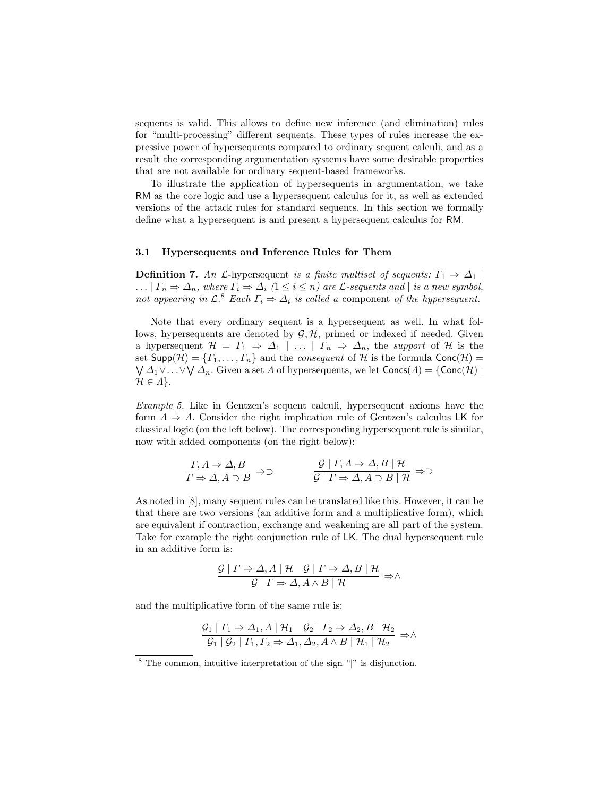sequents is valid. This allows to define new inference (and elimination) rules for "multi-processing" different sequents. These types of rules increase the expressive power of hypersequents compared to ordinary sequent calculi, and as a result the corresponding argumentation systems have some desirable properties that are not available for ordinary sequent-based frameworks.

To illustrate the application of hypersequents in argumentation, we take RM as the core logic and use a hypersequent calculus for it, as well as extended versions of the attack rules for standard sequents. In this section we formally define what a hypersequent is and present a hypersequent calculus for RM.

#### 3.1 Hypersequents and Inference Rules for Them

**Definition 7.** An L-hypersequent is a finite multiset of sequents:  $\Gamma_1 \Rightarrow \Delta_1$ ...  $|\Gamma_n \Rightarrow \Delta_n$ , where  $\Gamma_i \Rightarrow \Delta_i$   $(1 \leq i \leq n)$  are *L*-sequents and  $|$  is a new symbol, not appearing in  $\mathcal{L}$ .<sup>8</sup> Each  $\Gamma_i \Rightarrow \Delta_i$  is called a component of the hypersequent.

Note that every ordinary sequent is a hypersequent as well. In what follows, hypersequents are denoted by  $G, H$ , primed or indexed if needed. Given a hypersequent  $\mathcal{H} = \Gamma_1 \Rightarrow \Delta_1 \mid \ldots \mid \Gamma_n \Rightarrow \Delta_n$ , the support of H is the set  $\textsf{Supp}(\mathcal{H}) = \{T_1, \ldots, T_n\}$  and the *consequent* of H is the formula  $\textsf{Conc}(\mathcal{H}) =$  $\bigvee \Delta_1 \vee \ldots \vee \bigvee \Delta_n$ . Given a set  $\Lambda$  of hypersequents, we let  $\mathsf{Concs}(\Lambda) = \{\mathsf{Conc}(\mathcal{H}) \mid$  $\mathcal{H} \in \Lambda$ .

Example 5. Like in Gentzen's sequent calculi, hypersequent axioms have the form  $A \Rightarrow A$ . Consider the right implication rule of Gentzen's calculus LK for classical logic (on the left below). The corresponding hypersequent rule is similar, now with added components (on the right below):

$$
\frac{\Gamma, A \Rightarrow \Delta, B}{\Gamma \Rightarrow \Delta, A \supset B} \Rightarrow \qquad \qquad \frac{\mathcal{G} \mid \Gamma, A \Rightarrow \Delta, B \mid \mathcal{H}}{\mathcal{G} \mid \Gamma \Rightarrow \Delta, A \supset B \mid \mathcal{H}} \Rightarrow \qquad
$$

As noted in [8], many sequent rules can be translated like this. However, it can be that there are two versions (an additive form and a multiplicative form), which are equivalent if contraction, exchange and weakening are all part of the system. Take for example the right conjunction rule of LK. The dual hypersequent rule in an additive form is:

$$
\frac{\mathcal{G} \mid \Gamma \Rightarrow \Delta, A \mid \mathcal{H} \quad \mathcal{G} \mid \Gamma \Rightarrow \Delta, B \mid \mathcal{H}}{\mathcal{G} \mid \Gamma \Rightarrow \Delta, A \land B \mid \mathcal{H}} \Rightarrow \wedge
$$

and the multiplicative form of the same rule is:

$$
\frac{G_1 | \Gamma_1 \Rightarrow \Delta_1, A | \mathcal{H}_1 \quad \mathcal{G}_2 | \Gamma_2 \Rightarrow \Delta_2, B | \mathcal{H}_2}{\mathcal{G}_1 | \mathcal{G}_2 | \Gamma_1, \Gamma_2 \Rightarrow \Delta_1, \Delta_2, A \wedge B | \mathcal{H}_1 | \mathcal{H}_2} \Rightarrow \wedge
$$

<sup>8</sup> The common, intuitive interpretation of the sign "|" is disjunction.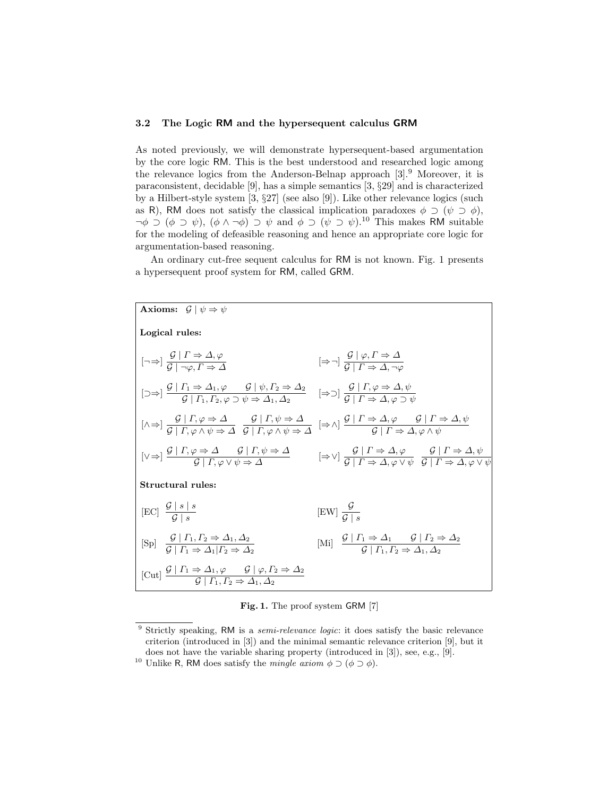#### 3.2 The Logic RM and the hypersequent calculus GRM

As noted previously, we will demonstrate hypersequent-based argumentation by the core logic RM. This is the best understood and researched logic among the relevance logics from the Anderson-Belnap approach [3].<sup>9</sup> Moreover, it is paraconsistent, decidable [9], has a simple semantics [3, §29] and is characterized by a Hilbert-style system [3, §27] (see also [9]). Like other relevance logics (such as R), RM does not satisfy the classical implication paradoxes  $\phi \supset (\psi \supset \phi)$ ,  $\neg \phi \supset (\phi \supset \psi)$ ,  $(\phi \wedge \neg \phi) \supset \psi$  and  $\phi \supset (\psi \supset \psi)$ .<sup>10</sup> This makes RM suitable for the modeling of defeasible reasoning and hence an appropriate core logic for argumentation-based reasoning.

An ordinary cut-free sequent calculus for RM is not known. Fig. 1 presents a hypersequent proof system for RM, called GRM.



Fig. 1. The proof system GRM [7]

<sup>&</sup>lt;sup>9</sup> Strictly speaking, RM is a *semi-relevance logic*: it does satisfy the basic relevance criterion (introduced in [3]) and the minimal semantic relevance criterion [9], but it does not have the variable sharing property (introduced in [3]), see, e.g., [9].

<sup>&</sup>lt;sup>10</sup> Unlike R, RM does satisfy the *mingle axiom*  $\phi \supset (\phi \supset \phi)$ .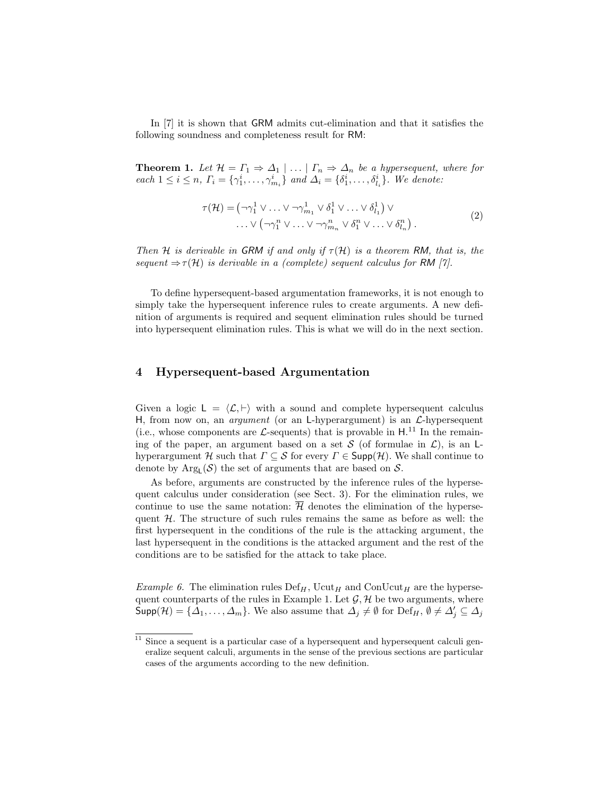In [7] it is shown that GRM admits cut-elimination and that it satisfies the following soundness and completeness result for RM:

**Theorem 1.** Let  $\mathcal{H} = \Gamma_1 \Rightarrow \Delta_1 \mid \ldots \mid \Gamma_n \Rightarrow \Delta_n$  be a hypersequent, where for each  $1 \le i \le n$ ,  $\Gamma_i = {\gamma_1^i, \dots, \gamma_{m_i}^i}$  and  $\Delta_i = {\delta_1^i, \dots, \delta_{l_i}^i}$ . We denote:

$$
\tau(\mathcal{H}) = \left(\neg \gamma_1^1 \lor \dots \lor \neg \gamma_{m_1}^1 \lor \delta_1^1 \lor \dots \lor \delta_{l_1}^1\right) \lor \n\therefore \lor \left(\neg \gamma_1^n \lor \dots \lor \neg \gamma_{m_n}^n \lor \delta_1^n \lor \dots \lor \delta_{l_n}^n\right).
$$
\n(2)

Then H is derivable in GRM if and only if  $\tau(H)$  is a theorem RM, that is, the sequent  $\Rightarrow \tau(\mathcal{H})$  is derivable in a (complete) sequent calculus for RM [7].

To define hypersequent-based argumentation frameworks, it is not enough to simply take the hypersequent inference rules to create arguments. A new definition of arguments is required and sequent elimination rules should be turned into hypersequent elimination rules. This is what we will do in the next section.

#### 4 Hypersequent-based Argumentation

Given a logic  $L = \langle \mathcal{L}, \vdash \rangle$  with a sound and complete hypersequent calculus H, from now on, an *argument* (or an L-hyperargument) is an  $\mathcal{L}$ -hypersequent (i.e., whose components are  $\mathcal{L}$ -sequents) that is provable in  $H^{11}$ . In the remaining of the paper, an argument based on a set S (of formulae in  $\mathcal{L}$ ), is an Lhyperargument H such that  $\Gamma \subseteq \mathcal{S}$  for every  $\Gamma \in \mathsf{Supp}(\mathcal{H})$ . We shall continue to denote by  $Arg_{L}(\mathcal{S})$  the set of arguments that are based on  $\mathcal{S}$ .

As before, arguments are constructed by the inference rules of the hypersequent calculus under consideration (see Sect. 3). For the elimination rules, we continue to use the same notation:  $\overline{\mathcal{H}}$  denotes the elimination of the hypersequent  $H$ . The structure of such rules remains the same as before as well: the first hypersequent in the conditions of the rule is the attacking argument, the last hypersequent in the conditions is the attacked argument and the rest of the conditions are to be satisfied for the attack to take place.

*Example 6.* The elimination rules  $Def_H$ , Ucut<sub>H</sub> and ConUcut<sub>H</sub> are the hypersequent counterparts of the rules in Example 1. Let  $\mathcal{G}, \mathcal{H}$  be two arguments, where  $\mathsf{Supp}(\mathcal{H}) = \{\Delta_1,\ldots,\Delta_m\}.$  We also assume that  $\Delta_j \neq \emptyset$  for  $\mathrm{Def}_H$ ,  $\emptyset \neq \Delta'_j \subseteq \Delta_j$ 

 $^{11}$  Since a sequent is a particular case of a hypersequent and hypersequent calculi generalize sequent calculi, arguments in the sense of the previous sections are particular cases of the arguments according to the new definition.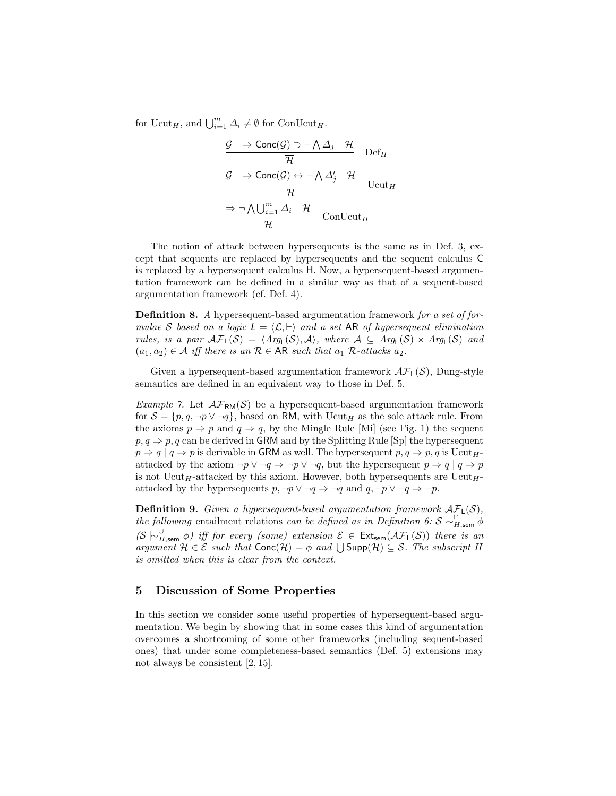for  $Ucut_H$ , and  $\bigcup_{i=1}^m \Delta_i \neq \emptyset$  for  $\text{ConUcut}_H$ .

$$
\frac{\mathcal{G} \Rightarrow \text{Conc}(\mathcal{G}) \supset \neg \bigwedge \Delta_j \quad \mathcal{H}}{\overline{\mathcal{H}}} \quad \text{Def}_H
$$
\n
$$
\frac{\mathcal{G} \Rightarrow \text{Conc}(\mathcal{G}) \leftrightarrow \neg \bigwedge \Delta'_j \quad \mathcal{H}}{\overline{\mathcal{H}}} \quad \text{Ucut}_H
$$
\n
$$
\frac{\Rightarrow \neg \bigwedge \bigcup_{i=1}^m \Delta_i \quad \mathcal{H}}{\overline{\mathcal{H}}} \quad \text{ConUcut}_H
$$

The notion of attack between hypersequents is the same as in Def. 3, except that sequents are replaced by hypersequents and the sequent calculus C is replaced by a hypersequent calculus H. Now, a hypersequent-based argumentation framework can be defined in a similar way as that of a sequent-based argumentation framework (cf. Def. 4).

Definition 8. A hypersequent-based argumentation framework for a set of formulae S based on a logic  $L = \langle \mathcal{L}, \vdash \rangle$  and a set AR of hypersequent elimination rules, is a pair  $\mathcal{AF}_L(\mathcal{S}) = \langle Arg_L(\mathcal{S}), \mathcal{A} \rangle$ , where  $\mathcal{A} \subseteq Arg_L(\mathcal{S}) \times Arg_L(\mathcal{S})$  and  $(a_1, a_2) \in \mathcal{A}$  iff there is an  $\mathcal{R} \in \mathsf{AR}$  such that  $a_1$   $\mathcal{R}\text{-}attacks$   $a_2$ .

Given a hypersequent-based argumentation framework  $\mathcal{AF}_{\mathsf{L}}(\mathcal{S})$ , Dung-style semantics are defined in an equivalent way to those in Def. 5.

*Example 7.* Let  $\mathcal{AF}_{RM}(S)$  be a hypersequent-based argumentation framework for  $S = \{p, q, \neg p \lor \neg q\}$ , based on RM, with Ucut<sub>H</sub> as the sole attack rule. From the axioms  $p \Rightarrow p$  and  $q \Rightarrow q$ , by the Mingle Rule [Mi] (see Fig. 1) the sequent  $p, q \Rightarrow p, q$  can be derived in GRM and by the Splitting Rule [Sp] the hypersequent  $p \Rightarrow q \mid q \Rightarrow p$  is derivable in GRM as well. The hypersequent  $p, q \Rightarrow p, q$  is Ucut<sub>H</sub>attacked by the axiom  $\neg p \lor \neg q \Rightarrow \neg p \lor \neg q$ , but the hypersequent  $p \Rightarrow q \mid q \Rightarrow p$ is not Ucut<sub>H</sub>-attacked by this axiom. However, both hypersequents are Ucut<sub>H</sub>attacked by the hypersequents  $p, \neg p \lor \neg q \Rightarrow \neg q$  and  $q, \neg p \lor \neg q \Rightarrow \neg p$ .

**Definition 9.** Given a hypersequent-based argumentation framework  $AF<sub>L</sub>(S)$ , the following entailment relations can be defined as in Definition 6:  $S \n\sim_{H,\text{sem}}^{\cap} \phi$  $(S \nightharpoonup_{H,\text{sem}}^{\cup} \phi)$  iff for every (some) extension  $\mathcal{E} \in \text{Ext}_{\text{sem}}(\mathcal{AF}_L(\mathcal{S}))$  there is an argument  $H \in \mathcal{E}$  such that  $Conc(\mathcal{H}) = \phi$  and  $\bigcup Supp(\mathcal{H}) \subseteq \mathcal{S}$ . The subscript H is omitted when this is clear from the context.

## 5 Discussion of Some Properties

In this section we consider some useful properties of hypersequent-based argumentation. We begin by showing that in some cases this kind of argumentation overcomes a shortcoming of some other frameworks (including sequent-based ones) that under some completeness-based semantics (Def. 5) extensions may not always be consistent [2, 15].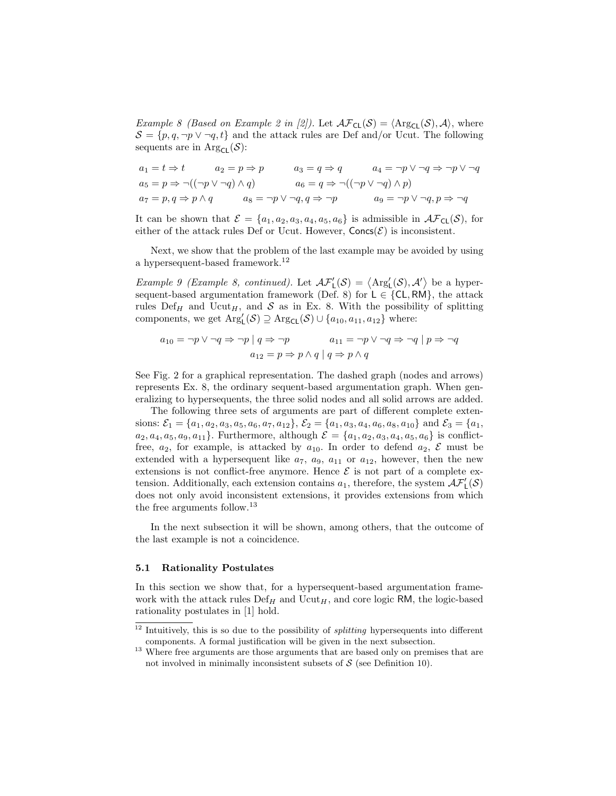*Example 8 (Based on Example 2 in [2]).* Let  $\mathcal{AF}_{CL}(\mathcal{S}) = \langle \text{Arg}_{CL}(\mathcal{S}), \mathcal{A} \rangle$ , where  $S = \{p, q, \neg p \lor \neg q, t\}$  and the attack rules are Def and/or Ucut. The following sequents are in  $\mathrm{Arg}_{\mathsf{CL}}(\mathcal{S})$ :

$$
a_1 = t \Rightarrow t \qquad a_2 = p \Rightarrow p \qquad a_3 = q \Rightarrow q \qquad a_4 = \neg p \lor \neg q \Rightarrow \neg p \lor \neg q
$$
  
\n
$$
a_5 = p \Rightarrow \neg((\neg p \lor \neg q) \land q) \qquad a_6 = q \Rightarrow \neg((\neg p \lor \neg q) \land p)
$$
  
\n
$$
a_7 = p, q \Rightarrow p \land q \qquad a_8 = \neg p \lor \neg q, q \Rightarrow \neg p \qquad a_9 = \neg p \lor \neg q, p \Rightarrow \neg q
$$

It can be shown that  $\mathcal{E} = \{a_1, a_2, a_3, a_4, a_5, a_6\}$  is admissible in  $\mathcal{AF}_{CL}(\mathcal{S})$ , for either of the attack rules Def or Ucut. However,  $Concs(\mathcal{E})$  is inconsistent.

Next, we show that the problem of the last example may be avoided by using a hypersequent-based framework.<sup>12</sup>

Example 9 (Example 8, continued). Let  $\mathcal{AF}_L'(\mathcal{S}) = \langle \text{Arg}_L'(\mathcal{S}), \mathcal{A}' \rangle$  be a hypersequent-based argumentation framework (Def. 8) for  $L \in \{CL, RM\}$ , the attack rules Def<sub>H</sub> and Ucut<sub>H</sub>, and S as in Ex. 8. With the possibility of splitting components, we get  $\text{Arg}'_{\mathsf{L}}(\mathcal{S}) \supseteq \text{Arg}_{\mathsf{CL}}(\mathcal{S}) \cup \{a_{10}, a_{11}, a_{12}\}$  where:

$$
a_{10} = \neg p \lor \neg q \Rightarrow \neg p \mid q \Rightarrow \neg p
$$
  

$$
a_{11} = \neg p \lor \neg q \Rightarrow \neg q \mid p \Rightarrow \neg q
$$
  

$$
a_{12} = p \Rightarrow p \land q \mid q \Rightarrow p \land q
$$

See Fig. 2 for a graphical representation. The dashed graph (nodes and arrows) represents Ex. 8, the ordinary sequent-based argumentation graph. When generalizing to hypersequents, the three solid nodes and all solid arrows are added.

The following three sets of arguments are part of different complete extensions:  $\mathcal{E}_1 = \{a_1, a_2, a_3, a_5, a_6, a_7, a_{12}\}, \mathcal{E}_2 = \{a_1, a_3, a_4, a_6, a_8, a_{10}\}$  and  $\mathcal{E}_3 = \{a_1, a_2, a_3, a_4, a_6, a_8, a_{10}\}$  $a_2, a_4, a_5, a_9, a_{11}$ . Furthermore, although  $\mathcal{E} = \{a_1, a_2, a_3, a_4, a_5, a_6\}$  is conflictfree,  $a_2$ , for example, is attacked by  $a_{10}$ . In order to defend  $a_2$ ,  $\mathcal E$  must be extended with a hypersequent like  $a_7$ ,  $a_9$ ,  $a_{11}$  or  $a_{12}$ , however, then the new extensions is not conflict-free anymore. Hence  $\mathcal E$  is not part of a complete extension. Additionally, each extension contains  $a_1$ , therefore, the system  $\mathcal{AF}_L'(\mathcal{S})$ does not only avoid inconsistent extensions, it provides extensions from which the free arguments follow.<sup>13</sup>

In the next subsection it will be shown, among others, that the outcome of the last example is not a coincidence.

#### 5.1 Rationality Postulates

In this section we show that, for a hypersequent-based argumentation framework with the attack rules  $\mathrm{Def}_{H}$  and  $\mathrm{Ucut}_{H}$ , and core logic RM, the logic-based rationality postulates in [1] hold.

 $12$  Intuitively, this is so due to the possibility of *splitting* hypersequents into different components. A formal justification will be given in the next subsection.

<sup>&</sup>lt;sup>13</sup> Where free arguments are those arguments that are based only on premises that are not involved in minimally inconsistent subsets of  $S$  (see Definition 10).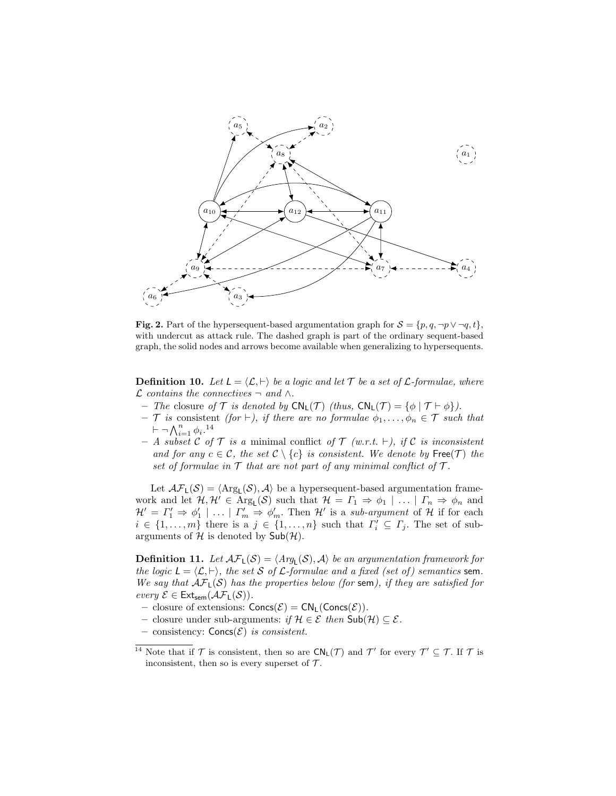

Fig. 2. Part of the hypersequent-based argumentation graph for  $S = \{p, q, \neg p \lor \neg q, t\}$ , with undercut as attack rule. The dashed graph is part of the ordinary sequent-based graph, the solid nodes and arrows become available when generalizing to hypersequents.

**Definition 10.** Let  $L = \langle \mathcal{L}, \vdash \rangle$  be a logic and let  $\mathcal{T}$  be a set of  $\mathcal{L}$ -formulae, where  $\mathcal L$  contains the connectives  $\neg$  and ∧.

- The closure of  $\mathcal T$  is denoted by  $CN_L(\mathcal T)$  (thus,  $CN_L(\mathcal T) = {\phi | \mathcal T \vdash \phi}.$ )
- $\mathcal T$  is consistent (for  $\vdash$ ), if there are no formulae  $\phi_1, \ldots, \phi_n \in \mathcal T$  such that  $\vdash \neg \bigwedge_{i=1}^{n} \phi_i$ .<sup>14</sup>
- A subset C of T is a minimal conflict of T (w.r.t.  $\vdash$ ), if C is inconsistent and for any  $c \in \mathcal{C}$ , the set  $\mathcal{C} \setminus \{c\}$  is consistent. We denote by  $\mathsf{Free}(\mathcal{T})$  the set of formulae in  $\mathcal T$  that are not part of any minimal conflict of  $\mathcal T$ .

Let  $\mathcal{AF}_L(\mathcal{S}) = \langle \text{Arg}_L(\mathcal{S}), \mathcal{A} \rangle$  be a hypersequent-based argumentation framework and let  $\mathcal{H}, \mathcal{H}' \in \text{Arg}_{\mathsf{L}}(\mathcal{S})$  such that  $\mathcal{H} = \Gamma_1 \Rightarrow \phi_1 \mid \ldots \mid \Gamma_n \Rightarrow \phi_n$  and  $\mathcal{H}' = \Gamma_1' \Rightarrow \phi_1' \mid \ldots \mid \Gamma_m' \Rightarrow \phi_m'.$  Then  $\mathcal{H}'$  is a sub-argument of  $\mathcal{H}$  if for each  $i \in \{1, \ldots, m\}$  there is a  $j \in \{1, \ldots, n\}$  such that  $\Gamma'_i \subseteq \Gamma_j$ . The set of subarguments of  $H$  is denoted by  $\mathsf{Sub}(\mathcal{H})$ .

**Definition 11.** Let  $\mathcal{AF}_L(\mathcal{S}) = \langle \text{Arg}_L(\mathcal{S}), \mathcal{A} \rangle$  be an argumentation framework for the logic  $L = \langle \mathcal{L}, \vdash \rangle$ , the set S of L-formulae and a fixed (set of) semantics sem. We say that  $\mathcal{AF}_L(\mathcal{S})$  has the properties below (for sem), if they are satisfied for every  $\mathcal{E} \in \mathsf{Ext}_{sem}(\mathcal{AF}_L(\mathcal{S})).$ 

- closure of extensions:  $Concs(\mathcal{E}) = CN_L(Concs(\mathcal{E}))$ .
- closure under sub-arguments: if  $H \in \mathcal{E}$  then  $\mathsf{Sub}(\mathcal{H}) \subseteq \mathcal{E}$ .
- consistency:  $Concs(\mathcal{E})$  is consistent.

<sup>&</sup>lt;sup>14</sup> Note that if  $\mathcal T$  is consistent, then so are  $CN_L(\mathcal T)$  and  $\mathcal T'$  for every  $\mathcal T' \subseteq \mathcal T$ . If  $\mathcal T$  is inconsistent, then so is every superset of  $\mathcal{T}$ .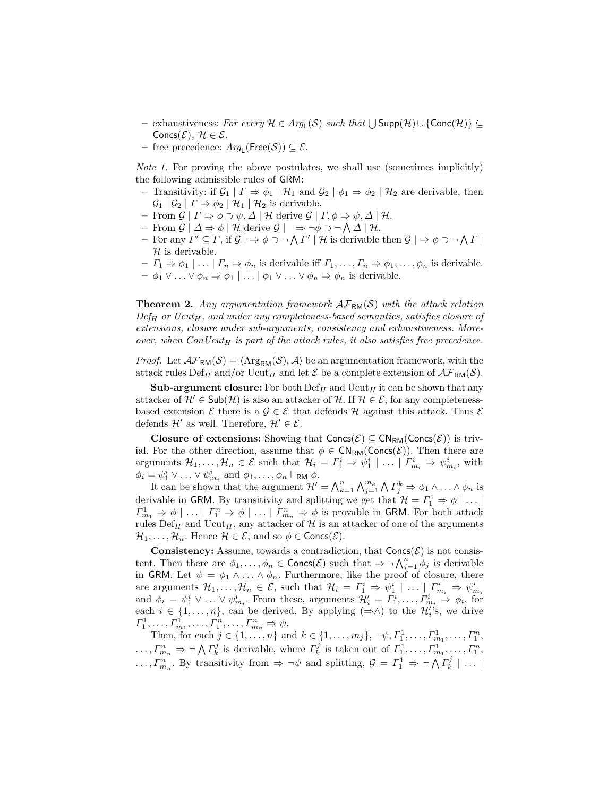- $-$  exhaustiveness: For every  $H \in Arg_{L}(S)$  such that  $\bigcup Supp(H) \cup \{\text{Conc}(\mathcal{H})\}\subseteq$ Concs $(\mathcal{E}), \mathcal{H} \in \mathcal{E}.$
- $-$  free precedence:  $Arg_{L}(\text{Free}(\mathcal{S})) \subseteq \mathcal{E}.$

Note 1. For proving the above postulates, we shall use (sometimes implicitly) the following admissible rules of GRM:

- Transitivity: if  $\mathcal{G}_1 | \Gamma \Rightarrow \phi_1 | \mathcal{H}_1$  and  $\mathcal{G}_2 | \phi_1 \Rightarrow \phi_2 | \mathcal{H}_2$  are derivable, then  $\mathcal{G}_1 | \mathcal{G}_2 | \Gamma \Rightarrow \phi_2 | \mathcal{H}_1 | \mathcal{H}_2$  is derivable.
- From  $\mathcal{G} \mid \Gamma \Rightarrow \phi \supset \psi, \Delta \mid \mathcal{H}$  derive  $\mathcal{G} \mid \Gamma, \phi \Rightarrow \psi, \Delta \mid \mathcal{H}$ .
- $-$  From  $\mathcal{G} | \Delta \Rightarrow \phi | \mathcal{H}$  derive  $\mathcal{G} | \Rightarrow \neg \phi \supset \neg \bigwedge \Delta | \mathcal{H}.$
- For any  $\Gamma' \subseteq \Gamma$ , if  $\mathcal{G} \mid \Rightarrow \phi \supset \neg \bigwedge \Gamma' \mid \mathcal{H}$  is derivable then  $\mathcal{G} \mid \Rightarrow \phi \supset \neg \bigwedge \Gamma' \mid \mathcal{H}$  $\mathcal H$  is derivable.
- $-I_1 \Rightarrow \phi_1 | \dots | I_n \Rightarrow \phi_n$  is derivable iff  $\Gamma_1, \dots, \Gamma_n \Rightarrow \phi_1, \dots, \phi_n$  is derivable.  $-\phi_1 \vee \ldots \vee \phi_n \Rightarrow \phi_1 \mid \ldots \mid \phi_1 \vee \ldots \vee \phi_n \Rightarrow \phi_n$  is derivable.

**Theorem 2.** Any argumentation framework  $\mathcal{AF}_{RM}(S)$  with the attack relation  $Def_H$  or  $Ucut_H$ , and under any completeness-based semantics, satisfies closure of extensions, closure under sub-arguments, consistency and exhaustiveness. Moreover, when  $ConUcut_H$  is part of the attack rules, it also satisfies free precedence.

*Proof.* Let  $\mathcal{AF}_{\text{RM}}(\mathcal{S}) = \langle \text{Arg}_{\text{RM}}(\mathcal{S}), \mathcal{A} \rangle$  be an argumentation framework, with the attack rules Def<sub>H</sub> and/or Ucut<sub>H</sub> and let  $\mathcal{E}$  be a complete extension of  $\mathcal{AF}_{RM}(\mathcal{S})$ .

**Sub-argument closure:** For both  $\mathrm{Def}_{H}$  and  $\mathrm{Ucut}_{H}$  it can be shown that any attacker of  $\mathcal{H}' \in \mathsf{Sub}(\mathcal{H})$  is also an attacker of  $\mathcal{H}$ . If  $\mathcal{H} \in \mathcal{E}$ , for any completenessbased extension  $\mathcal E$  there is a  $\mathcal G \in \mathcal E$  that defends  $\mathcal H$  against this attack. Thus  $\mathcal E$ defends  $\mathcal{H}'$  as well. Therefore,  $\mathcal{H}' \in \mathcal{E}$ .

Closure of extensions: Showing that  $Concs(\mathcal{E}) \subseteq CN_{RM}(Concs(\mathcal{E}))$  is trivial. For the other direction, assume that  $\phi \in \mathsf{CN}_{\mathsf{RM}}(\mathsf{Concs}(\mathcal{E}))$ . Then there are arguments  $\mathcal{H}_1, \ldots, \mathcal{H}_n \in \mathcal{E}$  such that  $\mathcal{H}_i = \Gamma_1^i \Rightarrow \psi_1^i \mid \ldots \mid \Gamma_{m_i}^i \Rightarrow \psi_{m_i}^i$ , with  $\phi_i = \psi_1^i \vee \ldots \vee \psi_{m_i}^i$  and  $\phi_1, \ldots, \phi_n \vdash_{\mathsf{RM}} \phi$ .

It can be shown that the argument  $\mathcal{H}' = \bigwedge_{k=1}^n \bigwedge_{j=1}^{m_k} \bigwedge \Gamma_j^k \Rightarrow \phi_1 \wedge \ldots \wedge \phi_n$  is derivable in GRM. By transitivity and splitting we get that  $\mathcal{H} = \Gamma_1^1 \Rightarrow \phi \mid \dots \mid$  $\Gamma_{m_1}^1 \Rightarrow \phi \mid \ldots \mid \Gamma_{n}^n \Rightarrow \phi \mid \ldots \mid \Gamma_{m_n}^n \Rightarrow \phi$  is provable in GRM. For both attack rules  $\mathrm{Def}_{H}$  and  $\mathrm{Ucut}_{H}$ , any attacker of H is an attacker of one of the arguments  $\mathcal{H}_1, \ldots, \mathcal{H}_n$ . Hence  $\mathcal{H} \in \mathcal{E}$ , and so  $\phi \in \text{Concs}(\mathcal{E})$ .

**Consistency:** Assume, towards a contradiction, that  $Concs(\mathcal{E})$  is not consistent. Then there are  $\phi_1,\ldots,\phi_n\in \text{Concs}(\mathcal{E})$  such that  $\Rightarrow \neg \bigwedge_{j=1}^n \phi_j$  is derivable in GRM. Let  $\psi = \phi_1 \wedge \ldots \wedge \phi_n$ . Furthermore, like the proof of closure, there are arguments  $\mathcal{H}_1, \dots, \mathcal{H}_n \in \mathcal{E}$ , such that  $\mathcal{H}_i = \Gamma_1^i \Rightarrow \psi_1^i \mid \dots \mid \Gamma_{m_i}^i \Rightarrow \psi_{m_i}^i$ <br>and  $\phi_i = \psi_1^i \vee \dots \vee \psi_{m_i}^i$ . From these, arguments  $\mathcal{H}'_i = \Gamma_1^i, \dots, \Gamma_{m_i}^i \Rightarrow \phi_i$ , for each  $i \in \{1, \ldots, n\}$ , can be derived. By applying  $(\Rightarrow \wedge)$  to the  $\mathcal{H}'_i$ 's, we drive  $\Gamma_1^1, \ldots, \Gamma_{m_1}^1, \ldots, \Gamma_{1}^n, \ldots, \Gamma_{m_n}^n \Rightarrow \psi.$ 

Then, for each  $j \in \{1, ..., n\}$  and  $k \in \{1, ..., m_j\}, \neg \psi, \Gamma_1^1, ..., \Gamma_{m_1}^1, ..., \Gamma_1^n$ ,  $\ldots, \Gamma_{m_n}^n \Rightarrow \neg \bigwedge \Gamma_k^j$  is derivable, where  $\Gamma_k^j$  is taken out of  $\Gamma_1^1, \ldots, \Gamma_{m_1}^1, \ldots, \Gamma_1^n$ ,  $\ldots, \Gamma_{m_n}^n$ . By transitivity from  $\Rightarrow \neg \psi$  and splitting,  $\mathcal{G} = \Gamma_1^1 \Rightarrow \neg \bigwedge \Gamma_k^j \mid \ldots \mid$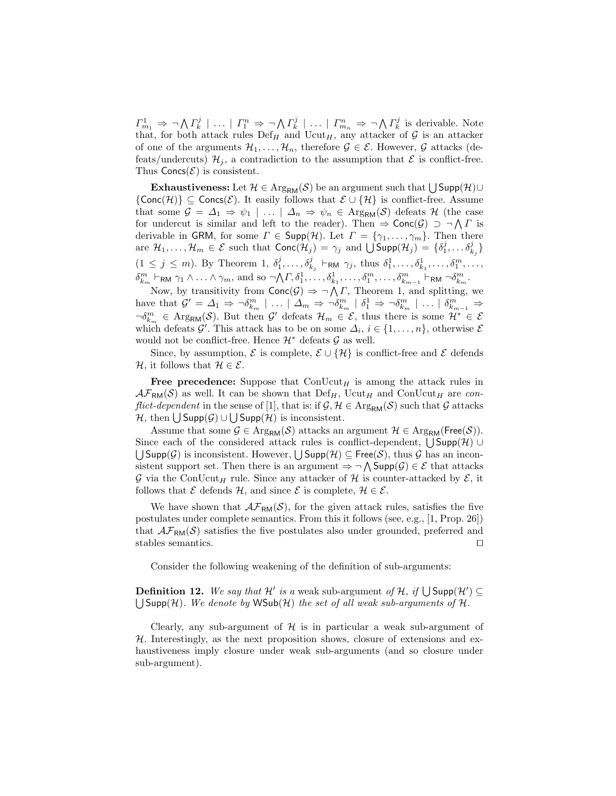$\Gamma^1_{m_1} \Rightarrow \neg \bigwedge \Gamma^j_k \mid \ldots \mid \Gamma^n_1 \Rightarrow \neg \bigwedge \Gamma^j_k \mid \ldots \mid \Gamma^n_{m_n} \Rightarrow \neg \bigwedge \Gamma^j_k$  is derivable. Note that, for both attack rules  $Def_H$  and  $Ucut_H$ , any attacker of G is an attacker of one of the arguments  $\mathcal{H}_1, \ldots, \mathcal{H}_n$ , therefore  $\mathcal{G} \in \mathcal{E}$ . However,  $\mathcal{G}$  attacks (defeats/undercuts)  $\mathcal{H}_j$ , a contradiction to the assumption that  $\mathcal E$  is conflict-free. Thus  $Concs(\mathcal{E})$  is consistent.

**Exhaustiveness:** Let  $\mathcal{H} \in \mathrm{Arg}_{\mathsf{RM}}(\mathcal{S})$  be an argument such that  $\bigcup \mathsf{Supp}(\mathcal{H}) \cup$  ${Conc(H)} \subseteq \text{Conc}(\mathcal{E})$ . It easily follows that  $\mathcal{E} \cup \{H\}$  is conflict-free. Assume that some  $\mathcal{G} = \Delta_1 \Rightarrow \psi_1 \mid \dots \mid \Delta_n \Rightarrow \psi_n \in \text{Arg}_{\text{RM}}(\mathcal{S})$  defeats  $\mathcal{H}$  (the case for undercut is similar and left to the reader). Then  $\Rightarrow$  Conc $(\mathcal{G}) \supset \neg \bigwedge \Gamma$  is derivable in GRM, for some  $\Gamma \in \text{Supp}(\mathcal{H})$ . Let  $\Gamma = \{\gamma_1, \ldots, \gamma_m\}$ . Then there are  $\mathcal{H}_1,\ldots,\mathcal{H}_m\in\mathcal{E}$  such that  $\mathsf{Conc}(\mathcal{H}_j)=\gamma_j$  and  $\bigcup \mathsf{Supp}(\mathcal{H}_j)=\{\delta^j_1,\ldots\delta^j_{k_j}\}$  $(1 \leq j \leq m)$ . By Theorem 1,  $\delta_1^j, \ldots, \delta_{k_j}^j \vdash_{\mathsf{RM}} \gamma_j$ , thus  $\delta_1^1, \ldots, \delta_{k_1}^1, \ldots, \delta_1^m, \ldots,$  $\delta_{k_m}^m \vdash_{\mathsf{RM}} \gamma_1 \wedge \ldots \wedge \gamma_m$ , and so  $\neg \bigwedge \Gamma, \delta_1^1, \ldots, \delta_{k_1}^1, \ldots, \delta_1^m, \ldots, \delta_{k_{m-1}}^m \vdash_{\mathsf{RM}} \neg \delta_{k_m}^m$ .

Now, by transitivity from  $Conc(G) \Rightarrow \neg \bigwedge \Gamma$ , Theorem 1, and splitting, we have that  $\mathcal{G}' = \Delta_1 \Rightarrow \neg \delta_{k_m}^m \mid \dots \mid \Delta_m \Rightarrow \neg \delta_{k_m}^m \mid \delta_1^1 \Rightarrow \neg \delta_{k_m}^m \mid \dots \mid \delta_{k_{m-1}}^m \Rightarrow$  $\neg \delta_{k_m}^m \in \text{Arg}_{\text{RM}}(\mathcal{S})$ . But then  $\mathcal{G}'$  defeats  $\mathcal{H}_m \in \mathcal{E}$ , thus there is some  $\mathcal{H}^* \in \mathcal{E}$ which defeats  $\mathcal{G}'$ . This attack has to be on some  $\Delta_i$ ,  $i \in \{1, \ldots, n\}$ , otherwise  $\mathcal{E}$ would not be conflict-free. Hence  $\mathcal{H}^*$  defeats  $\mathcal G$  as well.

Since, by assumption,  $\mathcal E$  is complete,  $\mathcal E \cup \{ \mathcal{H} \}$  is conflict-free and  $\mathcal E$  defends  $H$ , it follows that  $H \in \mathcal{E}$ .

Free precedence: Suppose that  $\text{ConUcut}_{H}$  is among the attack rules in  $\mathcal{AF}_{RM}(\mathcal{S})$  as well. It can be shown that  $Def_H$ , Ucut<sub>H</sub> and ConUcut<sub>H</sub> are con*flict-dependent* in the sense of [1], that is: if  $\mathcal{G}, \mathcal{H} \in \text{Arg}_{\text{RM}}(\mathcal{S})$  such that  $\mathcal{G}$  attacks  $\mathcal{H}$ , then  $\bigcup$  Supp $(\mathcal{G}) \cup \bigcup$  Supp $(\mathcal{H})$  is inconsistent.

Assume that some  $\mathcal{G} \in \text{Arg}_{\text{RM}}(\mathcal{S})$  attacks an argument  $\mathcal{H} \in \text{Arg}_{\text{RM}}(\text{Free}(\mathcal{S})).$ Since each of the considered attack rules is conflict-dependent,  $\bigcup$ Supp $(\mathcal{H})$  ∪  $\bigcup$ Supp $(\mathcal{G})$  is inconsistent. However,  $\bigcup$ Supp $(\mathcal{H}) \subseteq$  Free $(\mathcal{S})$ , thus  $\mathcal{G}$  has an inconsistent support set. Then there is an argument  $\Rightarrow \neg \bigwedge \mathsf{Supp}(\mathcal{G}) \in \mathcal{E}$  that attacks G via the ConUcut<sub>H</sub> rule. Since any attacker of H is counter-attacked by  $\mathcal{E}$ , it follows that  $\mathcal E$  defends  $\mathcal H$ , and since  $\mathcal E$  is complete,  $\mathcal H \in \mathcal E$ .

We have shown that  $\mathcal{AF}_{RM}(\mathcal{S})$ , for the given attack rules, satisfies the five postulates under complete semantics. From this it follows (see, e.g., [1, Prop. 26]) that  $\mathcal{AF}_{RM}(\mathcal{S})$  satisfies the five postulates also under grounded, preferred and stables semantics.  $\Box$ 

Consider the following weakening of the definition of sub-arguments:

**Definition 12.** We say that  $\mathcal{H}'$  is a weak sub-argument of  $\mathcal{H}$ , if  $\bigcup$  Supp $(\mathcal{H}') \subseteq$  $\bigcup$ Supp(H). We denote by WSub(H) the set of all weak sub-arguments of H.

Clearly, any sub-argument of  $H$  is in particular a weak sub-argument of  $H$ . Interestingly, as the next proposition shows, closure of extensions and exhaustiveness imply closure under weak sub-arguments (and so closure under sub-argument).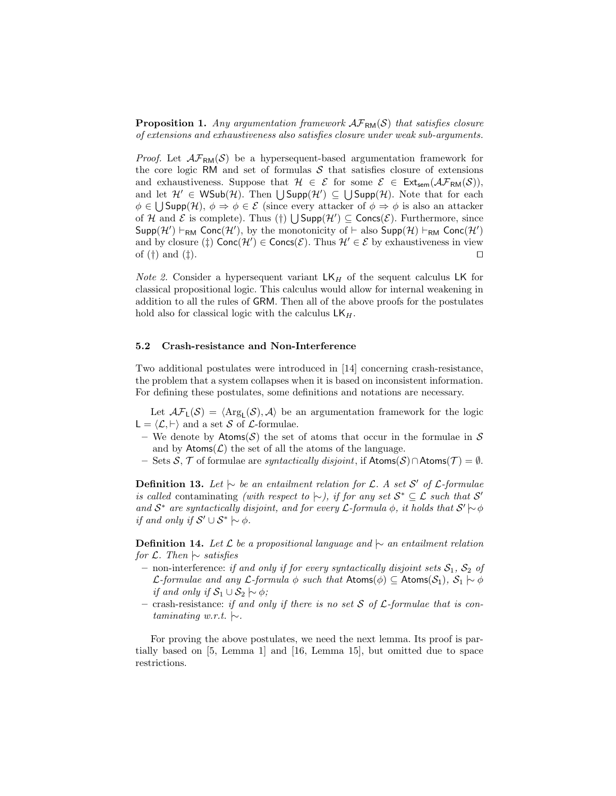**Proposition 1.** Any argumentation framework  $\mathcal{AF}_{\text{RM}}(\mathcal{S})$  that satisfies closure of extensions and exhaustiveness also satisfies closure under weak sub-arguments.

*Proof.* Let  $\mathcal{AF}_{RM}(\mathcal{S})$  be a hypersequent-based argumentation framework for the core logic RM and set of formulas  $S$  that satisfies closure of extensions and exhaustiveness. Suppose that  $H \in \mathcal{E}$  for some  $\mathcal{E} \in Ext_{sem}(\mathcal{AF}_{RM}(\mathcal{S}))$ , and let  $\mathcal{H}' \in \mathsf{WSub}(\mathcal{H})$ . Then  $\bigcup \mathsf{Supp}(\mathcal{H}') \subseteq \bigcup \mathsf{Supp}(\mathcal{H})$ . Note that for each  $\phi \in \bigcup \mathsf{Supp}(\mathcal{H}), \phi \Rightarrow \phi \in \mathcal{E}$  (since every attacker of  $\phi \Rightarrow \phi$  is also an attacker of H and E is complete). Thus  $(\dagger) \bigcup \mathsf{Supp}(\mathcal{H}') \subseteq \mathsf{Concs}(\mathcal{E})$ . Furthermore, since Supp(H')  $\vdash_{RM}$  Conc(H'), by the monotonicity of  $\vdash$  also Supp(H)  $\vdash_{RM}$  Conc(H') and by closure  $(\dagger)$  Conc $(\mathcal{H}') \in \text{Concs}(\mathcal{E})$ . Thus  $\mathcal{H}' \in \mathcal{E}$  by exhaustiveness in view of  $(\dagger)$  and  $(\dagger)$ .

*Note 2.* Consider a hypersequent variant  $LK_H$  of the sequent calculus LK for classical propositional logic. This calculus would allow for internal weakening in addition to all the rules of GRM. Then all of the above proofs for the postulates hold also for classical logic with the calculus  $LK_H$ .

#### 5.2 Crash-resistance and Non-Interference

Two additional postulates were introduced in [14] concerning crash-resistance, the problem that a system collapses when it is based on inconsistent information. For defining these postulates, some definitions and notations are necessary.

Let  $\mathcal{AF}_L(\mathcal{S}) = \langle \text{Arg}_L(\mathcal{S}), \mathcal{A} \rangle$  be an argumentation framework for the logic  $L = \langle \mathcal{L}, \vdash \rangle$  and a set S of L-formulae.

- We denote by Atoms(S) the set of atoms that occur in the formulae in  $S$ and by  $\text{Atoms}(\mathcal{L})$  the set of all the atoms of the language.
- Sets S, T of formulae are *syntactically disjoint*, if  $Atoms(S) \cap Atoms(T) = ∅$ .

**Definition 13.** Let  $\downarrow\sim$  be an entailment relation for L. A set S' of L-formulae is called contaminating (with respect to  $\sim$ ), if for any set  $S^* \subseteq \mathcal{L}$  such that S' and  $S^*$  are syntactically disjoint, and for every  $\mathcal{L}$ -formula  $\phi$ , it holds that  $S' \sim \phi$ if and only if  $S' \cup S^* \mid \sim \phi$ .

**Definition 14.** Let  $\mathcal{L}$  be a propositional language and  $\sim$  an entailment relation for  $\mathcal{L}$ . Then  $\sim$  satisfies

- non-interference: if and only if for every syntactically disjoint sets  $S_1$ ,  $S_2$  of *L*-formulae and any *L*-formula  $\phi$  such that Atoms( $\phi$ ) ⊆ Atoms( $S_1$ ),  $S_1 \sim \phi$ if and only if  $S_1 \cup S_2 \sim \phi$ ;
- crash-resistance: if and only if there is no set S of  $\mathcal L$ -formulae that is contaminating w.r.t.  $\sim$ .

For proving the above postulates, we need the next lemma. Its proof is partially based on [5, Lemma 1] and [16, Lemma 15], but omitted due to space restrictions.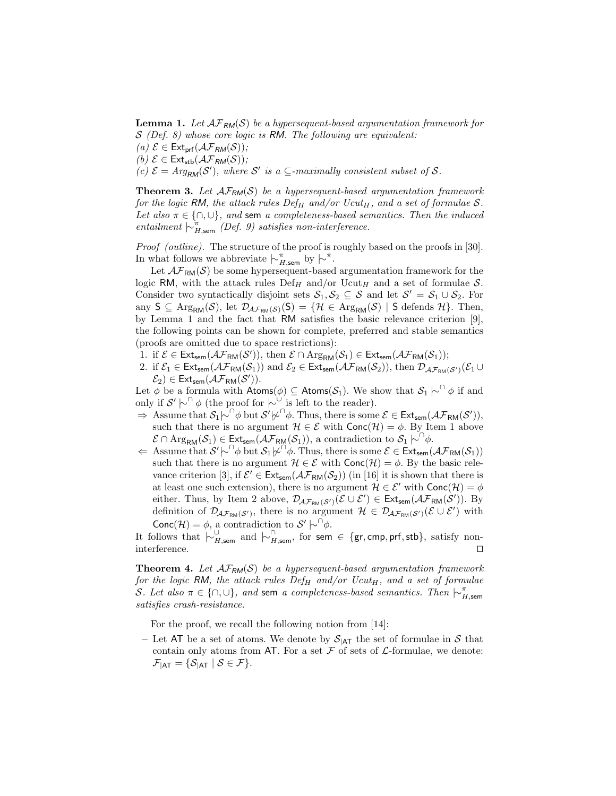**Lemma 1.** Let  $\mathcal{AF}_{RM}(S)$  be a hypersequent-based argumentation framework for  $S$  (Def. 8) whose core logic is RM. The following are equivalent:

(a)  $\mathcal{E} \in \mathsf{Ext}_{\mathsf{prf}}(\mathcal{AF}_{RM}(\mathcal{S}));$ 

(b)  $\mathcal{E} \in \mathsf{Ext}_{\mathsf{stb}}(\mathcal{AF}_{RM}(\mathcal{S}))$ ;

(c)  $\mathcal{E} = Arg_{RM}(\mathcal{S}')$ , where  $\mathcal{S}'$  is a  $\subseteq$ -maximally consistent subset of  $\mathcal{S}$ .

**Theorem 3.** Let  $\mathcal{AF}_{RM}(\mathcal{S})$  be a hypersequent-based argumentation framework for the logic RM, the attack rules  $Def_H$  and/or  $Ucut_H$ , and a set of formulae S. Let also  $\pi \in \{\cap, \cup\}$ , and sem a completeness-based semantics. Then the induced entailment  $\vdash_{H,\text{sem}}^{\pi} (Def. 9)$  satisfies non-interference.

Proof (outline). The structure of the proof is roughly based on the proofs in [30]. In what follows we abbreviate  $\mid \sim_{H,\text{sem}}^{\pi}$  by  $\mid \sim$ <sup>π</sup>.

Let  $\mathcal{AF}_{RM}(\mathcal{S})$  be some hypersequent-based argumentation framework for the logic RM, with the attack rules  $Def_H$  and/or  $Ucut_H$  and a set of formulae S. Consider two syntactically disjoint sets  $S_1, S_2 \subseteq S$  and let  $S' = S_1 \cup S_2$ . For any  $S \subseteq \text{Arg}_{\text{RM}}(\mathcal{S})$ , let  $\mathcal{D}_{\mathcal{AF}_{\text{RM}}(\mathcal{S})}(S) = \{ \mathcal{H} \in \text{Arg}_{\text{RM}}(\mathcal{S}) \mid S \text{ depends } \mathcal{H} \}.$  Then, by Lemma 1 and the fact that RM satisfies the basic relevance criterion [9], the following points can be shown for complete, preferred and stable semantics (proofs are omitted due to space restrictions):

- 1. if  $\mathcal{E} \in \mathsf{Ext}_{sem}(\mathcal{AF}_{\mathsf{RM}}(\mathcal{S}'))$ , then  $\mathcal{E} \cap \mathrm{Arg}_{\mathsf{RM}}(\mathcal{S}_1) \in \mathsf{Ext}_{sem}(\mathcal{AF}_{\mathsf{RM}}(\mathcal{S}_1));$
- 2. if  $\mathcal{E}_1 \in \text{Ext}_{sem}(\mathcal{AF}_{RM}(\mathcal{S}_1))$  and  $\mathcal{E}_2 \in \text{Ext}_{sem}(\mathcal{AF}_{RM}(\mathcal{S}_2))$ , then  $\mathcal{D}_{\mathcal{AF}_{RM}(\mathcal{S}')}(\mathcal{E}_1 \cup$  $\mathcal{E}_2$ )  $\in$  Ext<sub>sem</sub>( $\mathcal{AF}_{\mathsf{RM}}(\mathcal{S}'))$ .

Let  $\phi$  be a formula with  $\mathsf{Atoms}(\phi) \subseteq \mathsf{Atoms}(\mathcal{S}_1)$ . We show that  $\mathcal{S}_1 \upharpoonright^{\cap} \phi$  if and only if  $\mathcal{S}' \models^\cap \phi$  (the proof for  $\models^\cup$  is left to the reader).

- $\Rightarrow$  Assume that  $S_1\overline{\wedge}^{\cap}\phi$  but  $S'\not\varphi^{\cap}\phi$ . Thus, there is some  $\mathcal{E} \in \mathsf{Ext}_{\mathsf{sem}}(\mathcal{AF}_{\mathsf{RM}}(S')),$ such that there is no argument  $\mathcal{H} \in \mathcal{E}$  with  $Conc(\mathcal{H}) = \phi$ . By Item 1 above  $\mathcal{E} \cap \text{Arg}_{\text{RM}}(\mathcal{S}_1) \in \text{Ext}_{\text{sem}}(\mathcal{AF}_{\text{RM}}(\mathcal{S}_1)),$  a contradiction to  $\mathcal{S}_1 \upharpoonright^{\cap} \phi$ .
- $\Leftarrow$  Assume that  $S' \sim \rho^0 \phi$  but  $S_1 \not\sim \rho^0 \phi$ . Thus, there is some  $\mathcal{E} \in \text{Ext}_{sem}(\mathcal{AF}_{\text{RM}}(S_1))$ such that there is no argument  $\mathcal{H} \in \mathcal{E}$  with  $Conc(\mathcal{H}) = \phi$ . By the basic relevance criterion [3], if  $\mathcal{E}' \in \text{Ext}_{sem}(\mathcal{AF}_{RM}(\mathcal{S}_2))$  (in [16] it is shown that there is at least one such extension), there is no argument  $\mathcal{H} \in \mathcal{E}'$  with  $Conc(\mathcal{H}) = \phi$ either. Thus, by Item 2 above,  $\mathcal{D}_{\mathcal{AF}_{RM}(S')}(\mathcal{E} \cup \mathcal{E}') \in \mathsf{Ext}_{sem}(\mathcal{AF}_{RM}(S'))$ . By definition of  $\mathcal{D}_{\mathcal{AF}_{\mathsf{RM}}(\mathcal{S}')},$  there is no argument  $\mathcal{H} \in \mathcal{D}_{\mathcal{AF}_{\mathsf{RM}}(\mathcal{S}')}(\mathcal{E} \cup \mathcal{E}')$  with Conc $(\mathcal{H}) = \phi$ , a contradiction to  $\mathcal{S}' \models^{\cap} \phi$ .

It follows that  $\vdash_{H,\mathsf{sem}}^{\cup}$  and  $\vdash_{H,\mathsf{sem}}^{\cap}$ , for sem  $\in$  {gr, cmp, prf, stb}, satisfy noninterference.  $\Box$ 

**Theorem 4.** Let  $AF_{RM}(S)$  be a hypersequent-based argumentation framework for the logic RM, the attack rules  $Def_H$  and/or  $Ucut_H$ , and a set of formulae S. Let also  $\pi \in \{\cap, \cup\}$ , and sem a completeness-based semantics. Then  $\mid \sim_{H, \text{sem}}^{\pi}$ satisfies crash-resistance.

For the proof, we recall the following notion from [14]:

– Let AT be a set of atoms. We denote by  $S_{\text{A}}$  the set of formulae in S that contain only atoms from AT. For a set  $\mathcal F$  of sets of  $\mathcal L$ -formulae, we denote:  $\mathcal{F}_{\mathsf{IAT}} = \{\mathcal{S}_{\mathsf{IAT}} \mid \mathcal{S} \in \mathcal{F}\}.$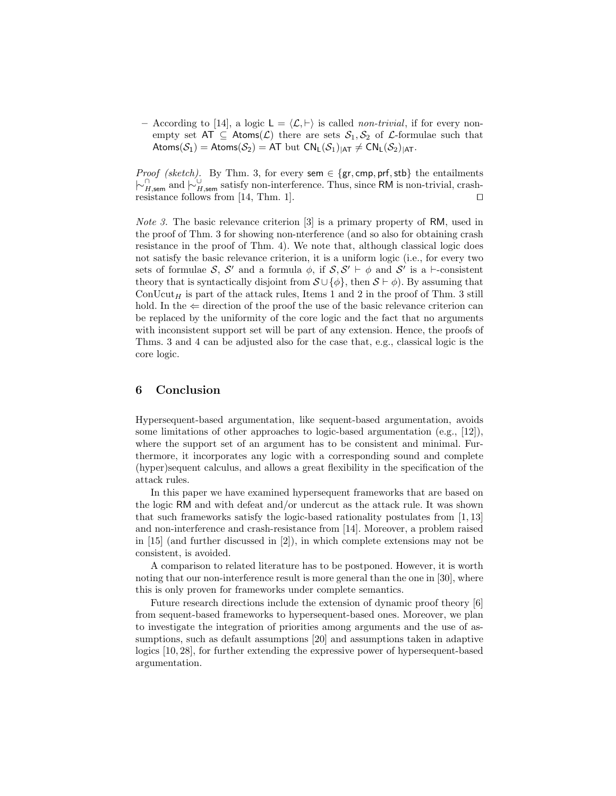– According to [14], a logic  $L = \langle \mathcal{L}, \vdash \rangle$  is called non-trivial, if for every nonempty set  $AT \subseteq Atoms(\mathcal{L})$  there are sets  $\mathcal{S}_1, \mathcal{S}_2$  of  $\mathcal{L}$ -formulae such that Atoms( $S_1$ ) = Atoms( $S_2$ ) = AT but  $CN_L(S_1)_{|AT} \neq CN_L(S_2)_{|AT}$ .

*Proof (sketch)*. By Thm. 3, for every sem  $\in \{gr, \text{cmp}, \text{prf}, \text{stb}\}\)$  the entailments  $\vdash_{H,\text{sem}}^{\cap}$  and  $\vdash_{H,\text{sem}}^{\cup}$  satisfy non-interference. Thus, since RM is non-trivial, crashresistance follows from [14, Thm. 1].  $\square$ 

Note 3. The basic relevance criterion [3] is a primary property of RM, used in the proof of Thm. 3 for showing non-nterference (and so also for obtaining crash resistance in the proof of Thm. 4). We note that, although classical logic does not satisfy the basic relevance criterion, it is a uniform logic (i.e., for every two sets of formulae S, S' and a formula  $\phi$ , if  $S, S' \vdash \phi$  and S' is a  $\vdash$ -consistent theory that is syntactically disjoint from  $\mathcal{S} \cup {\phi}$ , then  $\mathcal{S} \vdash \phi$ ). By assuming that ConUcut<sub>H</sub> is part of the attack rules, Items 1 and 2 in the proof of Thm. 3 still hold. In the  $\Leftarrow$  direction of the proof the use of the basic relevance criterion can be replaced by the uniformity of the core logic and the fact that no arguments with inconsistent support set will be part of any extension. Hence, the proofs of Thms. 3 and 4 can be adjusted also for the case that, e.g., classical logic is the core logic.

## 6 Conclusion

Hypersequent-based argumentation, like sequent-based argumentation, avoids some limitations of other approaches to logic-based argumentation (e.g., [12]), where the support set of an argument has to be consistent and minimal. Furthermore, it incorporates any logic with a corresponding sound and complete (hyper)sequent calculus, and allows a great flexibility in the specification of the attack rules.

In this paper we have examined hypersequent frameworks that are based on the logic RM and with defeat and/or undercut as the attack rule. It was shown that such frameworks satisfy the logic-based rationality postulates from [1, 13] and non-interference and crash-resistance from [14]. Moreover, a problem raised in [15] (and further discussed in [2]), in which complete extensions may not be consistent, is avoided.

A comparison to related literature has to be postponed. However, it is worth noting that our non-interference result is more general than the one in [30], where this is only proven for frameworks under complete semantics.

Future research directions include the extension of dynamic proof theory [6] from sequent-based frameworks to hypersequent-based ones. Moreover, we plan to investigate the integration of priorities among arguments and the use of assumptions, such as default assumptions [20] and assumptions taken in adaptive logics [10, 28], for further extending the expressive power of hypersequent-based argumentation.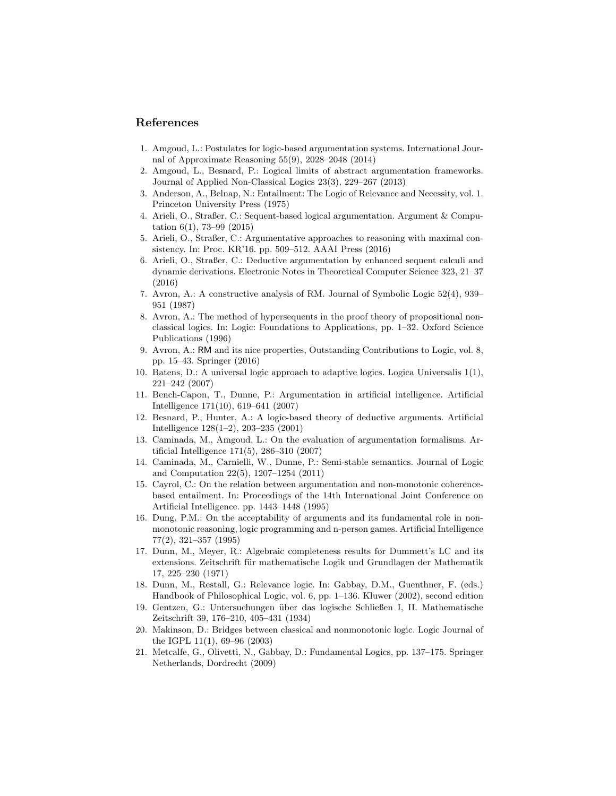#### References

- 1. Amgoud, L.: Postulates for logic-based argumentation systems. International Journal of Approximate Reasoning 55(9), 2028–2048 (2014)
- 2. Amgoud, L., Besnard, P.: Logical limits of abstract argumentation frameworks. Journal of Applied Non-Classical Logics 23(3), 229–267 (2013)
- 3. Anderson, A., Belnap, N.: Entailment: The Logic of Relevance and Necessity, vol. 1. Princeton University Press (1975)
- 4. Arieli, O., Straßer, C.: Sequent-based logical argumentation. Argument & Computation 6(1), 73–99 (2015)
- 5. Arieli, O., Straßer, C.: Argumentative approaches to reasoning with maximal consistency. In: Proc. KR'16. pp. 509–512. AAAI Press (2016)
- 6. Arieli, O., Straßer, C.: Deductive argumentation by enhanced sequent calculi and dynamic derivations. Electronic Notes in Theoretical Computer Science 323, 21–37 (2016)
- 7. Avron, A.: A constructive analysis of RM. Journal of Symbolic Logic 52(4), 939– 951 (1987)
- 8. Avron, A.: The method of hypersequents in the proof theory of propositional nonclassical logics. In: Logic: Foundations to Applications, pp. 1–32. Oxford Science Publications (1996)
- 9. Avron, A.: RM and its nice properties, Outstanding Contributions to Logic, vol. 8, pp. 15–43. Springer (2016)
- 10. Batens, D.: A universal logic approach to adaptive logics. Logica Universalis 1(1), 221–242 (2007)
- 11. Bench-Capon, T., Dunne, P.: Argumentation in artificial intelligence. Artificial Intelligence 171(10), 619–641 (2007)
- 12. Besnard, P., Hunter, A.: A logic-based theory of deductive arguments. Artificial Intelligence 128(1–2), 203–235 (2001)
- 13. Caminada, M., Amgoud, L.: On the evaluation of argumentation formalisms. Artificial Intelligence 171(5), 286–310 (2007)
- 14. Caminada, M., Carnielli, W., Dunne, P.: Semi-stable semantics. Journal of Logic and Computation 22(5), 1207–1254 (2011)
- 15. Cayrol, C.: On the relation between argumentation and non-monotonic coherencebased entailment. In: Proceedings of the 14th International Joint Conference on Artificial Intelligence. pp. 1443–1448 (1995)
- 16. Dung, P.M.: On the acceptability of arguments and its fundamental role in nonmonotonic reasoning, logic programming and n-person games. Artificial Intelligence 77(2), 321–357 (1995)
- 17. Dunn, M., Meyer, R.: Algebraic completeness results for Dummett's LC and its extensions. Zeitschrift für mathematische Logik und Grundlagen der Mathematik 17, 225–230 (1971)
- 18. Dunn, M., Restall, G.: Relevance logic. In: Gabbay, D.M., Guenthner, F. (eds.) Handbook of Philosophical Logic, vol. 6, pp. 1–136. Kluwer (2002), second edition
- 19. Gentzen, G.: Untersuchungen ¨uber das logische Schließen I, II. Mathematische Zeitschrift 39, 176–210, 405–431 (1934)
- 20. Makinson, D.: Bridges between classical and nonmonotonic logic. Logic Journal of the IGPL 11(1), 69–96 (2003)
- 21. Metcalfe, G., Olivetti, N., Gabbay, D.: Fundamental Logics, pp. 137–175. Springer Netherlands, Dordrecht (2009)